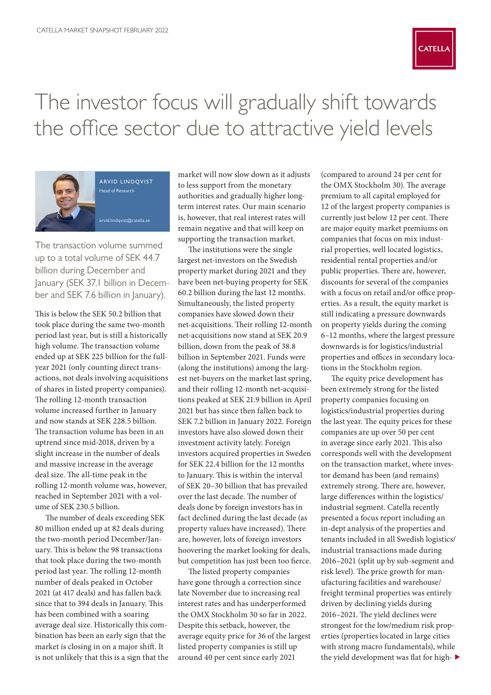

## The investor focus will gradually shift towards the office sector due to attractive yield levels



arvid lindqvist Head of Research [arvid.lindqvist@catella.se](mailto:arvid.lindqvist%40catella.se?subject=)

The transaction volume summed up to a total volume of SEK 44.7 billion during December and January (SEK 37.1 billion in December and SEK 7.6 billion in January).

This is below the SEK 50.2 billion that took place during the same two-month period last year, but is still a historically high volume. The transaction volume ended up at SEK 225 billion for the fullyear 2021 (only counting direct transactions, not deals involving acquisitions of shares in listed property companies). The rolling 12-month transaction volume increased further in January and now stands at SEK 228.5 billion. The transaction volume has been in an uptrend since mid-2018, driven by a slight increase in the number of deals and massive increase in the average deal size. The all-time peak in the rolling 12-month volume was, however, reached in September 2021 with a volume of SEK 230.5 billion.

The number of deals exceeding SEK 80 million ended up at 82 deals during the two-month period December/January. This is below the 98 transactions that took place during the two-month period last year. The rolling 12-month number of deals peaked in October 2021 (at 417 deals) and has fallen back since that to 394 deals in January. This has been combined with a soaring average deal size. Historically this combination has been an early sign that the market is closing in on a major shift. It is not unlikely that this is a sign that the

market will now slow down as it adjusts to less support from the monetary authorities and gradually higher longterm interest rates. Our main scenario is, however, that real interest rates will remain negative and that will keep on supporting the transaction market.

The institutions were the single largest net-investors on the Swedish property market during 2021 and they have been net-buying property for SEK 60.2 billion during the last 12 months. Simultaneously, the listed property companies have slowed down their net-acquisitions. Their rolling 12-month net-acquisitions now stand at SEK 20.9 billion, down from the peak of 38.8 billion in September 2021. Funds were (along the institutions) among the largest net-buyers on the market last spring, and their rolling 12-month net-acquisitions peaked at SEK 21.9 billion in April 2021 but has since then fallen back to SEK 7.2 billion in January 2022. Foreign investors have also slowed down their investment activity lately. Foreign investors acquired properties in Sweden for SEK 22.4 billion for the 12 months to January. This is within the interval of SEK 20–30 billion that has prevailed over the last decade. The number of deals done by foreign investors has in fact declined during the last decade (as property values have increased). There are, however, lots of foreign investors hoovering the market looking for deals, but competition has just been too fierce.

The listed property companies have gone through a correction since late November due to increasing real interest rates and has underperformed the OMX Stockholm 30 so far in 2022. Despite this setback, however, the average equity price for 36 of the largest listed property companies is still up around 40 per cent since early 2021

(compared to around 24 per cent for the OMX Stockholm 30). The average premium to all capital employed for 12 of the largest property companies is currently just below 12 per cent. There are major equity market premiums on companies that focus on mix industrial properties, well located logistics, residential rental properties and/or public properties. There are, however, discounts for several of the companies with a focus on retail and/or office properties. As a result, the equity market is still indicating a pressure downwards on property yields during the coming 6–12 months, where the largest pressure downwards is for logistics/industrial properties and offices in secondary locations in the Stockholm region.

The equity price development has been extremely strong for the listed property companies focusing on logistics/industrial properties during the last year. The equity prices for these companies are up over 50 per cent in average since early 2021. This also corresponds well with the development on the transaction market, where investor demand has been (and remains) extremely strong. There are, however, large differences within the logistics/ industrial segment. Catella recently presented a focus report including an in-dept analysis of the properties and tenants included in all Swedish logistics/ industrial transactions made during 2016–2021 (split up by sub-segment and risk level). The price growth for manufacturing facilities and warehouse/ freight terminal properties was entirely driven by declining yields during 2016–2021. The yield declines were strongest for the low/medium risk properties (properties located in large cities with strong macro fundamentals), while the yield development was flat for high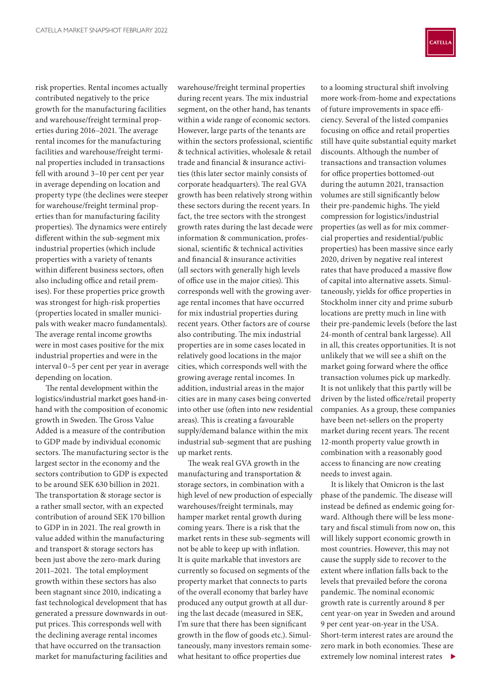risk properties. Rental incomes actually contributed negatively to the price growth for the manufacturing facilities and warehouse/freight terminal properties during 2016–2021. The average rental incomes for the manufacturing facilities and warehouse/freight terminal properties included in transactions fell with around 3–10 per cent per year in average depending on location and property type (the declines were steeper for warehouse/freight terminal properties than for manufacturing facility properties). The dynamics were entirely different within the sub-segment mix industrial properties (which include properties with a variety of tenants within different business sectors, often also including office and retail premises). For these properties price growth was strongest for high-risk properties (properties located in smaller municipals with weaker macro fundamentals). The average rental income growths were in most cases positive for the mix industrial properties and were in the interval 0–5 per cent per year in average depending on location.

The rental development within the logistics/industrial market goes hand-inhand with the composition of economic growth in Sweden. The Gross Value Added is a measure of the contribution to GDP made by individual economic sectors. The manufacturing sector is the largest sector in the economy and the sectors contribution to GDP is expected to be around SEK 630 billion in 2021. The transportation & storage sector is a rather small sector, with an expected contribution of around SEK 170 billion to GDP in in 2021. The real growth in value added within the manufacturing and transport & storage sectors has been just above the zero-mark during 2011–2021. The total employment growth within these sectors has also been stagnant since 2010, indicating a fast technological development that has generated a pressure downwards in output prices. This corresponds well with the declining average rental incomes that have occurred on the transaction market for manufacturing facilities and

warehouse/freight terminal properties during recent years. The mix industrial segment, on the other hand, has tenants within a wide range of economic sectors. However, large parts of the tenants are within the sectors professional, scientific & technical activities, wholesale & retail trade and financial & insurance activities (this later sector mainly consists of corporate headquarters). The real GVA growth has been relatively strong within these sectors during the recent years. In fact, the tree sectors with the strongest growth rates during the last decade were information & communication, professional, scientific & technical activities and financial & insurance activities (all sectors with generally high levels of office use in the major cities). This corresponds well with the growing average rental incomes that have occurred for mix industrial properties during recent years. Other factors are of course also contributing. The mix industrial properties are in some cases located in relatively good locations in the major cities, which corresponds well with the growing average rental incomes. In addition, industrial areas in the major cities are in many cases being converted into other use (often into new residential areas). This is creating a favourable supply/demand balance within the mix industrial sub-segment that are pushing up market rents.

The weak real GVA growth in the manufacturing and transportation & storage sectors, in combination with a high level of new production of especially warehouses/freight terminals, may hamper market rental growth during coming years. There is a risk that the market rents in these sub-segments will not be able to keep up with inflation. It is quite markable that investors are currently so focused on segments of the property market that connects to parts of the overall economy that barley have produced any output growth at all during the last decade (measured in SEK, I'm sure that there has been significant growth in the flow of goods etc.). Simultaneously, many investors remain somewhat hesitant to office properties due



to a looming structural shift involving more work-from-home and expectations of future improvements in space efficiency. Several of the listed companies focusing on office and retail properties still have quite substantial equity market discounts. Although the number of transactions and transaction volumes for office properties bottomed-out during the autumn 2021, transaction volumes are still significantly below their pre-pandemic highs. The yield compression for logistics/industrial properties (as well as for mix commercial properties and residential/public properties) has been massive since early 2020, driven by negative real interest rates that have produced a massive flow of capital into alternative assets. Simultaneously, yields for office properties in Stockholm inner city and prime suburb locations are pretty much in line with their pre-pandemic levels (before the last 24-month of central bank largesse). All in all, this creates opportunities. It is not unlikely that we will see a shift on the market going forward where the office transaction volumes pick up markedly. It is not unlikely that this partly will be driven by the listed office/retail property companies. As a group, these companies have been net-sellers on the property market during recent years. The recent 12-month property value growth in combination with a reasonably good access to financing are now creating needs to invest again.

It is likely that Omicron is the last phase of the pandemic. The disease will instead be defined as endemic going forward. Although there will be less monetary and fiscal stimuli from now on, this will likely support economic growth in most countries. However, this may not cause the supply side to recover to the extent where inflation falls back to the levels that prevailed before the corona pandemic. The nominal economic growth rate is currently around 8 per cent year-on year in Sweden and around 9 per cent year-on-year in the USA. Short-term interest rates are around the zero mark in both economies. These are extremely low nominal interest rates